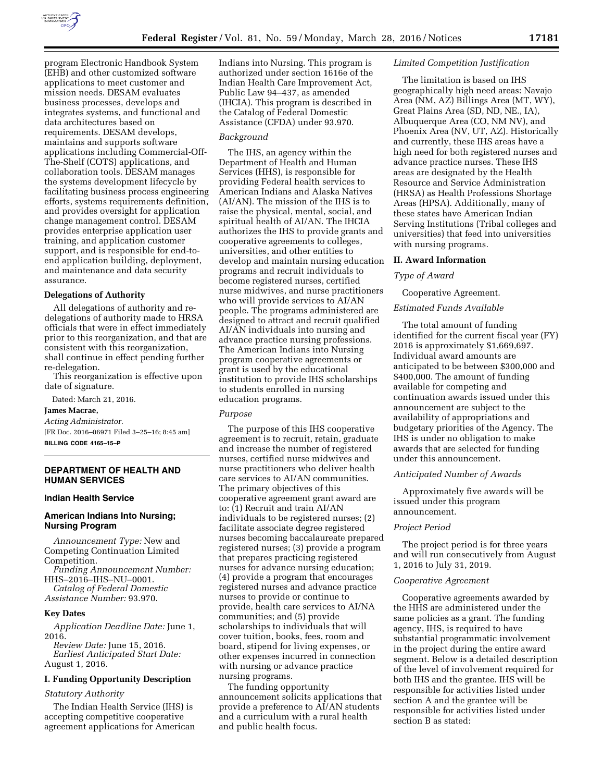

program Electronic Handbook System (EHB) and other customized software applications to meet customer and mission needs. DESAM evaluates business processes, develops and integrates systems, and functional and data architectures based on requirements. DESAM develops, maintains and supports software applications including Commercial-Off-The-Shelf (COTS) applications, and collaboration tools. DESAM manages the systems development lifecycle by facilitating business process engineering efforts, systems requirements definition, and provides oversight for application change management control. DESAM provides enterprise application user

training, and application customer support, and is responsible for end-toend application building, deployment, and maintenance and data security assurance.

#### **Delegations of Authority**

All delegations of authority and redelegations of authority made to HRSA officials that were in effect immediately prior to this reorganization, and that are consistent with this reorganization, shall continue in effect pending further re-delegation.

This reorganization is effective upon date of signature.

Dated: March 21, 2016.

#### **James Macrae,**

*Acting Administrator.*  [FR Doc. 2016–06971 Filed 3–25–16; 8:45 am]

**BILLING CODE 4165–15–P** 

# **DEPARTMENT OF HEALTH AND HUMAN SERVICES**

# **Indian Health Service**

# **American Indians Into Nursing; Nursing Program**

*Announcement Type:* New and Competing Continuation Limited Competition.

*Funding Announcement Number:*  HHS–2016–IHS–NU–0001.

*Catalog of Federal Domestic Assistance Number:* 93.970.

## **Key Dates**

*Application Deadline Date:* June 1, 2016.

*Review Date:* June 15, 2016. *Earliest Anticipated Start Date:*  August 1, 2016.

## **I. Funding Opportunity Description**

# *Statutory Authority*

The Indian Health Service (IHS) is accepting competitive cooperative agreement applications for American Indians into Nursing. This program is authorized under section 1616e of the Indian Health Care Improvement Act, Public Law 94–437, as amended (IHCIA). This program is described in the Catalog of Federal Domestic Assistance (CFDA) under 93.970.

## *Background*

The IHS, an agency within the Department of Health and Human Services (HHS), is responsible for providing Federal health services to American Indians and Alaska Natives (AI/AN). The mission of the IHS is to raise the physical, mental, social, and spiritual health of AI/AN. The IHCIA authorizes the IHS to provide grants and cooperative agreements to colleges, universities, and other entities to develop and maintain nursing education programs and recruit individuals to become registered nurses, certified nurse midwives, and nurse practitioners who will provide services to AI/AN people. The programs administered are designed to attract and recruit qualified AI/AN individuals into nursing and advance practice nursing professions. The American Indians into Nursing program cooperative agreements or grant is used by the educational institution to provide IHS scholarships to students enrolled in nursing education programs.

## *Purpose*

The purpose of this IHS cooperative agreement is to recruit, retain, graduate and increase the number of registered nurses, certified nurse midwives and nurse practitioners who deliver health care services to AI/AN communities. The primary objectives of this cooperative agreement grant award are to: (1) Recruit and train AI/AN individuals to be registered nurses; (2) facilitate associate degree registered nurses becoming baccalaureate prepared registered nurses; (3) provide a program that prepares practicing registered nurses for advance nursing education; (4) provide a program that encourages registered nurses and advance practice nurses to provide or continue to provide, health care services to AI/NA communities; and (5) provide scholarships to individuals that will cover tuition, books, fees, room and board, stipend for living expenses, or other expenses incurred in connection with nursing or advance practice nursing programs.

The funding opportunity announcement solicits applications that provide a preference to AI/AN students and a curriculum with a rural health and public health focus.

## *Limited Competition Justification*

The limitation is based on IHS geographically high need areas: Navajo Area (NM, AZ) Billings Area (MT, WY), Great Plains Area (SD, ND, NE., IA), Albuquerque Area (CO, NM NV), and Phoenix Area (NV, UT, AZ). Historically and currently, these IHS areas have a high need for both registered nurses and advance practice nurses. These IHS areas are designated by the Health Resource and Service Administration (HRSA) as Health Professions Shortage Areas (HPSA). Additionally, many of these states have American Indian Serving Institutions (Tribal colleges and universities) that feed into universities with nursing programs.

#### **II. Award Information**

# *Type of Award*

## Cooperative Agreement.

# *Estimated Funds Available*

The total amount of funding identified for the current fiscal year (FY) 2016 is approximately \$1,669,697. Individual award amounts are anticipated to be between \$300,000 and \$400,000. The amount of funding available for competing and continuation awards issued under this announcement are subject to the availability of appropriations and budgetary priorities of the Agency. The IHS is under no obligation to make awards that are selected for funding under this announcement.

## *Anticipated Number of Awards*

Approximately five awards will be issued under this program announcement.

## *Project Period*

The project period is for three years and will run consecutively from August 1, 2016 to July 31, 2019.

## *Cooperative Agreement*

Cooperative agreements awarded by the HHS are administered under the same policies as a grant. The funding agency, IHS, is required to have substantial programmatic involvement in the project during the entire award segment. Below is a detailed description of the level of involvement required for both IHS and the grantee. IHS will be responsible for activities listed under section A and the grantee will be responsible for activities listed under section B as stated: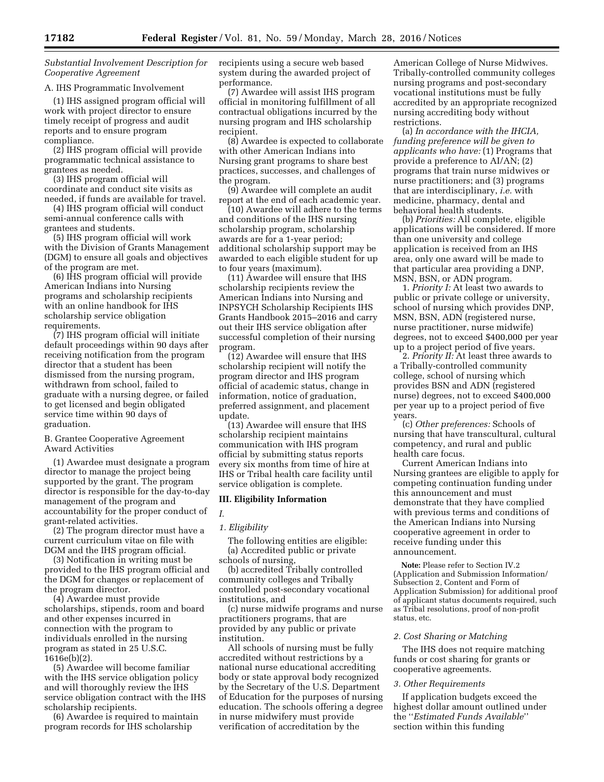# *Substantial Involvement Description for Cooperative Agreement*

A. IHS Programmatic Involvement

(1) IHS assigned program official will work with project director to ensure timely receipt of progress and audit reports and to ensure program compliance.

(2) IHS program official will provide programmatic technical assistance to grantees as needed.

(3) IHS program official will coordinate and conduct site visits as needed, if funds are available for travel.

(4) IHS program official will conduct semi-annual conference calls with grantees and students.

(5) IHS program official will work with the Division of Grants Management (DGM) to ensure all goals and objectives of the program are met.

(6) IHS program official will provide American Indians into Nursing programs and scholarship recipients with an online handbook for IHS scholarship service obligation requirements.

(7) IHS program official will initiate default proceedings within 90 days after receiving notification from the program director that a student has been dismissed from the nursing program, withdrawn from school, failed to graduate with a nursing degree, or failed to get licensed and begin obligated service time within 90 days of graduation.

## B. Grantee Cooperative Agreement Award Activities

(1) Awardee must designate a program director to manage the project being supported by the grant. The program director is responsible for the day-to-day management of the program and accountability for the proper conduct of grant-related activities.

(2) The program director must have a current curriculum vitae on file with DGM and the IHS program official.

(3) Notification in writing must be provided to the IHS program official and the DGM for changes or replacement of the program director.

(4) Awardee must provide scholarships, stipends, room and board and other expenses incurred in connection with the program to individuals enrolled in the nursing program as stated in 25 U.S.C. 1616e(b)(2).

(5) Awardee will become familiar with the IHS service obligation policy and will thoroughly review the IHS service obligation contract with the IHS scholarship recipients.

(6) Awardee is required to maintain program records for IHS scholarship

recipients using a secure web based system during the awarded project of performance.

(7) Awardee will assist IHS program official in monitoring fulfillment of all contractual obligations incurred by the nursing program and IHS scholarship recipient.

(8) Awardee is expected to collaborate with other American Indians into Nursing grant programs to share best practices, successes, and challenges of the program.

(9) Awardee will complete an audit report at the end of each academic year.

(10) Awardee will adhere to the terms and conditions of the IHS nursing scholarship program, scholarship awards are for a 1-year period; additional scholarship support may be awarded to each eligible student for up to four years (maximum).

(11) Awardee will ensure that IHS scholarship recipients review the American Indians into Nursing and INPSYCH Scholarship Recipients IHS Grants Handbook 2015–2016 and carry out their IHS service obligation after successful completion of their nursing program.

(12) Awardee will ensure that IHS scholarship recipient will notify the program director and IHS program official of academic status, change in information, notice of graduation, preferred assignment, and placement update.

(13) Awardee will ensure that IHS scholarship recipient maintains communication with IHS program official by submitting status reports every six months from time of hire at IHS or Tribal health care facility until service obligation is complete.

#### **III. Eligibility Information**

*I.* 

## *1. Eligibility*

The following entities are eligible: (a) Accredited public or private schools of nursing,

(b) accredited Tribally controlled community colleges and Tribally controlled post-secondary vocational institutions, and

(c) nurse midwife programs and nurse practitioners programs, that are provided by any public or private institution.

All schools of nursing must be fully accredited without restrictions by a national nurse educational accrediting body or state approval body recognized by the Secretary of the U.S. Department of Education for the purposes of nursing education. The schools offering a degree in nurse midwifery must provide verification of accreditation by the

American College of Nurse Midwives. Tribally-controlled community colleges nursing programs and post-secondary vocational institutions must be fully accredited by an appropriate recognized nursing accrediting body without restrictions.

(a) *In accordance with the IHCIA, funding preference will be given to applicants who have:* (1) Programs that provide a preference to AI/AN; (2) programs that train nurse midwives or nurse practitioners; and (3) programs that are interdisciplinary, *i.e.* with medicine, pharmacy, dental and behavioral health students.

(b) *Priorities:* All complete, eligible applications will be considered. If more than one university and college application is received from an IHS area, only one award will be made to that particular area providing a DNP, MSN, BSN, or ADN program.

1. *Priority I:* At least two awards to public or private college or university, school of nursing which provides DNP, MSN, BSN, ADN (registered nurse, nurse practitioner, nurse midwife) degrees, not to exceed \$400,000 per year up to a project period of five years.

2. *Priority II:* At least three awards to a Tribally-controlled community college, school of nursing which provides BSN and ADN (registered nurse) degrees, not to exceed \$400,000 per year up to a project period of five years.

(c) *Other preferences:* Schools of nursing that have transcultural, cultural competency, and rural and public health care focus.

Current American Indians into Nursing grantees are eligible to apply for competing continuation funding under this announcement and must demonstrate that they have complied with previous terms and conditions of the American Indians into Nursing cooperative agreement in order to receive funding under this announcement.

**Note:** Please refer to Section IV.2 (Application and Submission Information/ Subsection 2, Content and Form of Application Submission) for additional proof of applicant status documents required, such as Tribal resolutions, proof of non-profit status, etc.

# *2. Cost Sharing or Matching*

The IHS does not require matching funds or cost sharing for grants or cooperative agreements.

#### *3. Other Requirements*

If application budgets exceed the highest dollar amount outlined under the ''*Estimated Funds Available*'' section within this funding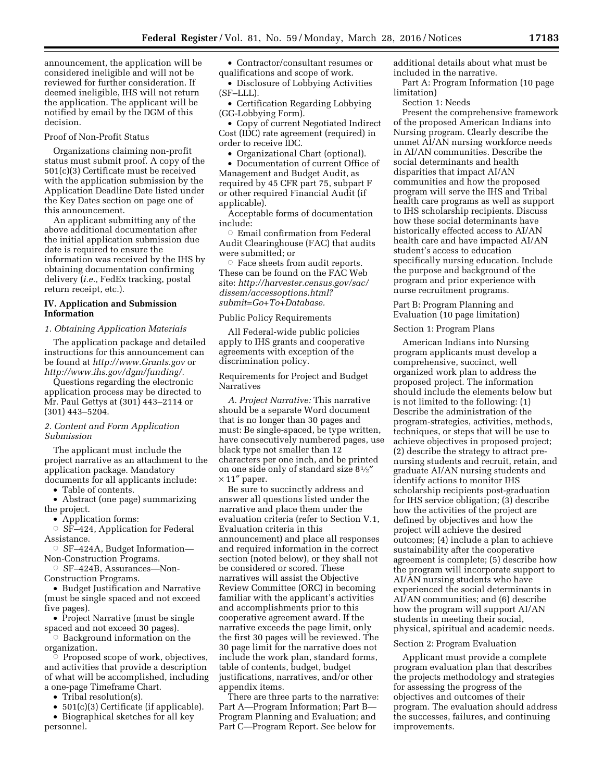announcement, the application will be considered ineligible and will not be reviewed for further consideration. If deemed ineligible, IHS will not return the application. The applicant will be notified by email by the DGM of this decision.

#### Proof of Non-Profit Status

Organizations claiming non-profit status must submit proof. A copy of the 501(c)(3) Certificate must be received with the application submission by the Application Deadline Date listed under the Key Dates section on page one of this announcement.

An applicant submitting any of the above additional documentation after the initial application submission due date is required to ensure the information was received by the IHS by obtaining documentation confirming delivery (*i.e.,* FedEx tracking, postal return receipt, etc.).

## **IV. Application and Submission Information**

## *1. Obtaining Application Materials*

The application package and detailed instructions for this announcement can be found at *<http://www.Grants.gov>*or *[http://www.ihs.gov/dgm/funding/.](http://www.ihs.gov/dgm/funding/)* 

Questions regarding the electronic application process may be directed to Mr. Paul Gettys at (301) 443–2114 or (301) 443–5204.

## *2. Content and Form Application Submission*

The applicant must include the project narrative as an attachment to the application package. Mandatory documents for all applicants include:

• Table of contents.

• Abstract (one page) summarizing the project.

• Application forms:

 $\circ$  SF–424, Application for Federal Assistance.

○ SF-424A, Budget Information— Non-Construction Programs.

Æ SF–424B, Assurances—Non-Construction Programs.

• Budget Justification and Narrative (must be single spaced and not exceed five pages).

• Project Narrative (must be single spaced and not exceed 30 pages).

 $\circ$  Background information on the organization.

ŏ Proposed scope of work, objectives, and activities that provide a description of what will be accomplished, including a one-page Timeframe Chart.

• Tribal resolution(s).

• 501(c)(3) Certificate (if applicable).

• Biographical sketches for all key personnel.

• Contractor/consultant resumes or qualifications and scope of work.

• Disclosure of Lobbying Activities (SF–LLL).

• Certification Regarding Lobbying (GG-Lobbying Form).

• Copy of current Negotiated Indirect Cost (IDC) rate agreement (required) in order to receive IDC.

• Organizational Chart (optional).

• Documentation of current Office of Management and Budget Audit, as required by 45 CFR part 75, subpart F or other required Financial Audit (if applicable).

Acceptable forms of documentation include:

 $\circ$  Email confirmation from Federal Audit Clearinghouse (FAC) that audits were submitted; or

 $\circ$  Face sheets from audit reports. These can be found on the FAC Web site: *[http://harvester.census.gov/sac/](http://harvester.census.gov/sac/dissem/accessoptions.html?submit=Go+To+Database) [dissem/accessoptions.html?](http://harvester.census.gov/sac/dissem/accessoptions.html?submit=Go+To+Database) [submit=Go+To+Database.](http://harvester.census.gov/sac/dissem/accessoptions.html?submit=Go+To+Database)* 

Public Policy Requirements

All Federal-wide public policies apply to IHS grants and cooperative agreements with exception of the discrimination policy.

Requirements for Project and Budget Narratives

*A. Project Narrative:* This narrative should be a separate Word document that is no longer than 30 pages and must: Be single-spaced, be type written, have consecutively numbered pages, use black type not smaller than 12 characters per one inch, and be printed on one side only of standard size 81⁄2″  $\times$  11" paper.

Be sure to succinctly address and answer all questions listed under the narrative and place them under the evaluation criteria (refer to Section V.1, Evaluation criteria in this announcement) and place all responses and required information in the correct section (noted below), or they shall not be considered or scored. These narratives will assist the Objective Review Committee (ORC) in becoming familiar with the applicant's activities and accomplishments prior to this cooperative agreement award. If the narrative exceeds the page limit, only the first 30 pages will be reviewed. The 30 page limit for the narrative does not include the work plan, standard forms, table of contents, budget, budget justifications, narratives, and/or other appendix items.

There are three parts to the narrative: Part A—Program Information; Part B— Program Planning and Evaluation; and Part C—Program Report. See below for

additional details about what must be included in the narrative.

Part A: Program Information (10 page limitation)

Section 1: Needs

Present the comprehensive framework of the proposed American Indians into Nursing program. Clearly describe the unmet AI/AN nursing workforce needs in AI/AN communities. Describe the social determinants and health disparities that impact AI/AN communities and how the proposed program will serve the IHS and Tribal health care programs as well as support to IHS scholarship recipients. Discuss how these social determinants have historically effected access to AI/AN health care and have impacted AI/AN student's access to education specifically nursing education. Include the purpose and background of the program and prior experience with nurse recruitment programs.

Part B: Program Planning and Evaluation (10 page limitation)

Section 1: Program Plans

American Indians into Nursing program applicants must develop a comprehensive, succinct, well organized work plan to address the proposed project. The information should include the elements below but is not limited to the following: (1) Describe the administration of the program-strategies, activities, methods, techniques, or steps that will be use to achieve objectives in proposed project; (2) describe the strategy to attract prenursing students and recruit, retain, and graduate AI/AN nursing students and identify actions to monitor IHS scholarship recipients post-graduation for IHS service obligation; (3) describe how the activities of the project are defined by objectives and how the project will achieve the desired outcomes; (4) include a plan to achieve sustainability after the cooperative agreement is complete; (5) describe how the program will incorporate support to AI/AN nursing students who have experienced the social determinants in AI/AN communities; and (6) describe how the program will support AI/AN students in meeting their social, physical, spiritual and academic needs.

#### Section 2: Program Evaluation

Applicant must provide a complete program evaluation plan that describes the projects methodology and strategies for assessing the progress of the objectives and outcomes of their program. The evaluation should address the successes, failures, and continuing improvements.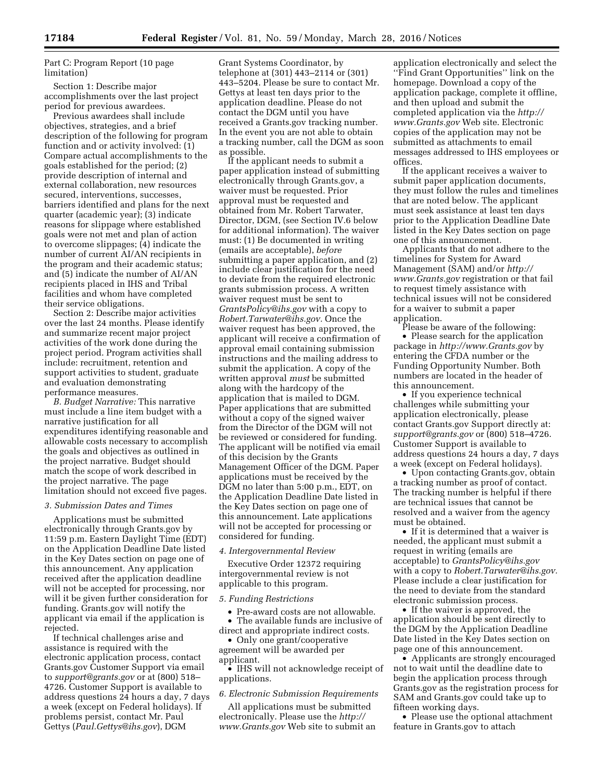Part C: Program Report (10 page limitation)

Section 1: Describe major accomplishments over the last project period for previous awardees.

Previous awardees shall include objectives, strategies, and a brief description of the following for program function and or activity involved: (1) Compare actual accomplishments to the goals established for the period; (2) provide description of internal and external collaboration, new resources secured, interventions, successes, barriers identified and plans for the next quarter (academic year); (3) indicate reasons for slippage where established goals were not met and plan of action to overcome slippages; (4) indicate the number of current AI/AN recipients in the program and their academic status; and (5) indicate the number of AI/AN recipients placed in IHS and Tribal facilities and whom have completed their service obligations.

Section 2: Describe major activities over the last 24 months. Please identify and summarize recent major project activities of the work done during the project period. Program activities shall include: recruitment, retention and support activities to student, graduate and evaluation demonstrating performance measures.

*B. Budget Narrative:* This narrative must include a line item budget with a narrative justification for all expenditures identifying reasonable and allowable costs necessary to accomplish the goals and objectives as outlined in the project narrative. Budget should match the scope of work described in the project narrative. The page limitation should not exceed five pages.

## *3. Submission Dates and Times*

Applications must be submitted electronically through Grants.gov by 11:59 p.m. Eastern Daylight Time (EDT) on the Application Deadline Date listed in the Key Dates section on page one of this announcement. Any application received after the application deadline will not be accepted for processing, nor will it be given further consideration for funding. Grants.gov will notify the applicant via email if the application is rejected.

If technical challenges arise and assistance is required with the electronic application process, contact Grants.gov Customer Support via email to *[support@grants.gov](mailto:support@grants.gov)* or at (800) 518– 4726. Customer Support is available to address questions 24 hours a day, 7 days a week (except on Federal holidays). If problems persist, contact Mr. Paul Gettys (*[Paul.Gettys@ihs.gov](mailto:Paul.Gettys@ihs.gov)*), DGM

Grant Systems Coordinator, by telephone at (301) 443–2114 or (301) 443–5204. Please be sure to contact Mr. Gettys at least ten days prior to the application deadline. Please do not contact the DGM until you have received a Grants.gov tracking number. In the event you are not able to obtain a tracking number, call the DGM as soon as possible.

If the applicant needs to submit a paper application instead of submitting electronically through Grants.gov, a waiver must be requested. Prior approval must be requested and obtained from Mr. Robert Tarwater, Director, DGM, (see Section IV.6 below for additional information). The waiver must: (1) Be documented in writing (emails are acceptable), *before*  submitting a paper application, and (2) include clear justification for the need to deviate from the required electronic grants submission process. A written waiver request must be sent to *[GrantsPolicy@ihs.gov](mailto:GrantsPolicy@ihs.gov)* with a copy to *[Robert.Tarwater@ihs.gov.](mailto:Robert.Tarwater@ihs.gov)* Once the waiver request has been approved, the applicant will receive a confirmation of approval email containing submission instructions and the mailing address to submit the application. A copy of the written approval *must* be submitted along with the hardcopy of the application that is mailed to DGM. Paper applications that are submitted without a copy of the signed waiver from the Director of the DGM will not be reviewed or considered for funding. The applicant will be notified via email of this decision by the Grants Management Officer of the DGM. Paper applications must be received by the DGM no later than 5:00 p.m., EDT, on the Application Deadline Date listed in the Key Dates section on page one of this announcement. Late applications will not be accepted for processing or considered for funding.

#### *4. Intergovernmental Review*

Executive Order 12372 requiring intergovernmental review is not applicable to this program.

#### *5. Funding Restrictions*

• Pre-award costs are not allowable. • The available funds are inclusive of

direct and appropriate indirect costs. • Only one grant/cooperative

agreement will be awarded per applicant.

• IHS will not acknowledge receipt of applications.

#### *6. Electronic Submission Requirements*

All applications must be submitted electronically. Please use the *[http://](http://www.Grants.gov) [www.Grants.gov](http://www.Grants.gov)* Web site to submit an application electronically and select the ''Find Grant Opportunities'' link on the homepage. Download a copy of the application package, complete it offline, and then upload and submit the completed application via the *[http://](http://www.Grants.gov) [www.Grants.gov](http://www.Grants.gov)* Web site. Electronic copies of the application may not be submitted as attachments to email messages addressed to IHS employees or offices.

If the applicant receives a waiver to submit paper application documents, they must follow the rules and timelines that are noted below. The applicant must seek assistance at least ten days prior to the Application Deadline Date listed in the Key Dates section on page one of this announcement.

Applicants that do not adhere to the timelines for System for Award Management (SAM) and/or *[http://](http://www.Grants.gov) [www.Grants.gov](http://www.Grants.gov)* registration or that fail to request timely assistance with technical issues will not be considered for a waiver to submit a paper application.

Please be aware of the following: • Please search for the application package in *<http://www.Grants.gov>* by entering the CFDA number or the Funding Opportunity Number. Both numbers are located in the header of this announcement.

• If you experience technical challenges while submitting your application electronically, please contact Grants.gov Support directly at: *[support@grants.gov](mailto:support@grants.gov)* or (800) 518–4726. Customer Support is available to address questions 24 hours a day, 7 days a week (except on Federal holidays).

• Upon contacting Grants.gov, obtain a tracking number as proof of contact. The tracking number is helpful if there are technical issues that cannot be resolved and a waiver from the agency must be obtained.

• If it is determined that a waiver is needed, the applicant must submit a request in writing (emails are acceptable) to *[GrantsPolicy@ihs.gov](mailto:GrantsPolicy@ihs.gov)*  with a copy to *[Robert.Tarwater@ihs.gov.](mailto:Robert.Tarwater@ihs.gov)*  Please include a clear justification for the need to deviate from the standard electronic submission process.

• If the waiver is approved, the application should be sent directly to the DGM by the Application Deadline Date listed in the Key Dates section on page one of this announcement.

• Applicants are strongly encouraged not to wait until the deadline date to begin the application process through Grants.gov as the registration process for SAM and Grants.gov could take up to fifteen working days.

• Please use the optional attachment feature in Grants.gov to attach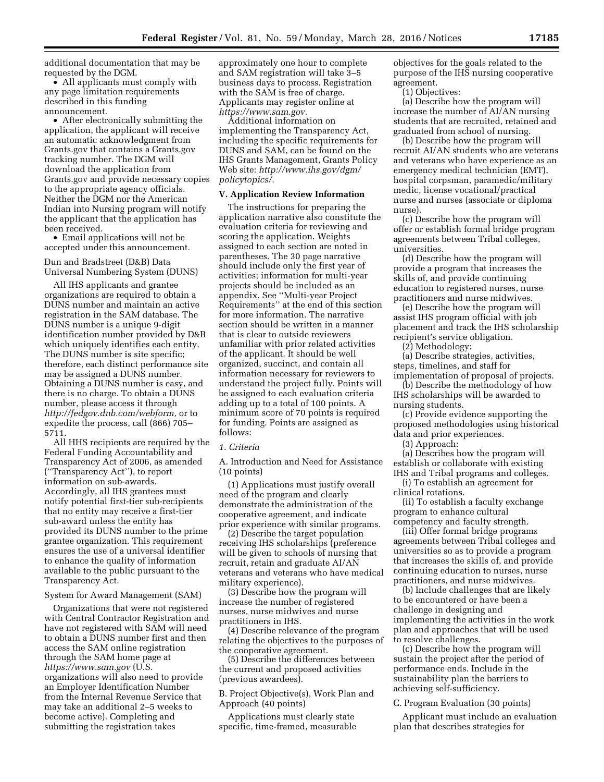additional documentation that may be requested by the DGM.

• All applicants must comply with any page limitation requirements described in this funding announcement.

• After electronically submitting the application, the applicant will receive an automatic acknowledgment from Grants.gov that contains a Grants.gov tracking number. The DGM will download the application from Grants.gov and provide necessary copies to the appropriate agency officials. Neither the DGM nor the American Indian into Nursing program will notify the applicant that the application has been received.

• Email applications will not be accepted under this announcement.

Dun and Bradstreet (D&B) Data Universal Numbering System (DUNS)

All IHS applicants and grantee organizations are required to obtain a DUNS number and maintain an active registration in the SAM database. The DUNS number is a unique 9-digit identification number provided by D&B which uniquely identifies each entity. The DUNS number is site specific; therefore, each distinct performance site may be assigned a DUNS number. Obtaining a DUNS number is easy, and there is no charge. To obtain a DUNS number, please access it through *[http://fedgov.dnb.com/webform,](http://fedgov.dnb.com/webform)* or to expedite the process, call (866) 705– 5711.

All HHS recipients are required by the Federal Funding Accountability and Transparency Act of 2006, as amended (''Transparency Act''), to report information on sub-awards. Accordingly, all IHS grantees must notify potential first-tier sub-recipients that no entity may receive a first-tier sub-award unless the entity has provided its DUNS number to the prime grantee organization. This requirement ensures the use of a universal identifier to enhance the quality of information available to the public pursuant to the Transparency Act.

System for Award Management (SAM)

Organizations that were not registered with Central Contractor Registration and have not registered with SAM will need to obtain a DUNS number first and then access the SAM online registration through the SAM home page at *<https://www.sam.gov>* (U.S. organizations will also need to provide an Employer Identification Number from the Internal Revenue Service that may take an additional 2–5 weeks to become active). Completing and submitting the registration takes

approximately one hour to complete and SAM registration will take 3–5 business days to process. Registration with the SAM is free of charge. Applicants may register online at *[https://www.sam.gov.](https://www.sam.gov)* 

Additional information on implementing the Transparency Act, including the specific requirements for DUNS and SAM, can be found on the IHS Grants Management, Grants Policy Web site: *[http://www.ihs.gov/dgm/](http://www.ihs.gov/dgm/policytopics/) [policytopics/.](http://www.ihs.gov/dgm/policytopics/)* 

#### **V. Application Review Information**

The instructions for preparing the application narrative also constitute the evaluation criteria for reviewing and scoring the application. Weights assigned to each section are noted in parentheses. The 30 page narrative should include only the first year of activities; information for multi-year projects should be included as an appendix. See ''Multi-year Project Requirements'' at the end of this section for more information. The narrative section should be written in a manner that is clear to outside reviewers unfamiliar with prior related activities of the applicant. It should be well organized, succinct, and contain all information necessary for reviewers to understand the project fully. Points will be assigned to each evaluation criteria adding up to a total of 100 points. A minimum score of 70 points is required for funding. Points are assigned as follows:

#### *1. Criteria*

A. Introduction and Need for Assistance (10 points)

(1) Applications must justify overall need of the program and clearly demonstrate the administration of the cooperative agreement, and indicate prior experience with similar programs.

(2) Describe the target population receiving IHS scholarships (preference will be given to schools of nursing that recruit, retain and graduate AI/AN veterans and veterans who have medical military experience).

(3) Describe how the program will increase the number of registered nurses, nurse midwives and nurse practitioners in IHS.

(4) Describe relevance of the program relating the objectives to the purposes of the cooperative agreement.

(5) Describe the differences between the current and proposed activities (previous awardees).

B. Project Objective(s), Work Plan and Approach (40 points)

Applications must clearly state specific, time-framed, measurable objectives for the goals related to the purpose of the IHS nursing cooperative agreement.

(1) Objectives:

(a) Describe how the program will increase the number of AI/AN nursing students that are recruited, retained and graduated from school of nursing.

(b) Describe how the program will recruit AI/AN students who are veterans and veterans who have experience as an emergency medical technician (EMT), hospital corpsman, paramedic/military medic, license vocational/practical nurse and nurses (associate or diploma nurse).

(c) Describe how the program will offer or establish formal bridge program agreements between Tribal colleges, universities.

(d) Describe how the program will provide a program that increases the skills of, and provide continuing education to registered nurses, nurse practitioners and nurse midwives.

(e) Describe how the program will assist IHS program official with job placement and track the IHS scholarship recipient's service obligation.

(2) Methodology:

(a) Describe strategies, activities, steps, timelines, and staff for

implementation of proposal of projects. (b) Describe the methodology of how IHS scholarships will be awarded to

nursing students.

(c) Provide evidence supporting the proposed methodologies using historical data and prior experiences.

(3) Approach:

(a) Describes how the program will establish or collaborate with existing IHS and Tribal programs and colleges.

(i) To establish an agreement for clinical rotations.

(ii) To establish a faculty exchange program to enhance cultural competency and faculty strength.

(iii) Offer formal bridge programs agreements between Tribal colleges and universities so as to provide a program that increases the skills of, and provide continuing education to nurses, nurse practitioners, and nurse midwives.

(b) Include challenges that are likely to be encountered or have been a challenge in designing and implementing the activities in the work plan and approaches that will be used to resolve challenges.

(c) Describe how the program will sustain the project after the period of performance ends. Include in the sustainability plan the barriers to achieving self-sufficiency.

C. Program Evaluation (30 points)

Applicant must include an evaluation plan that describes strategies for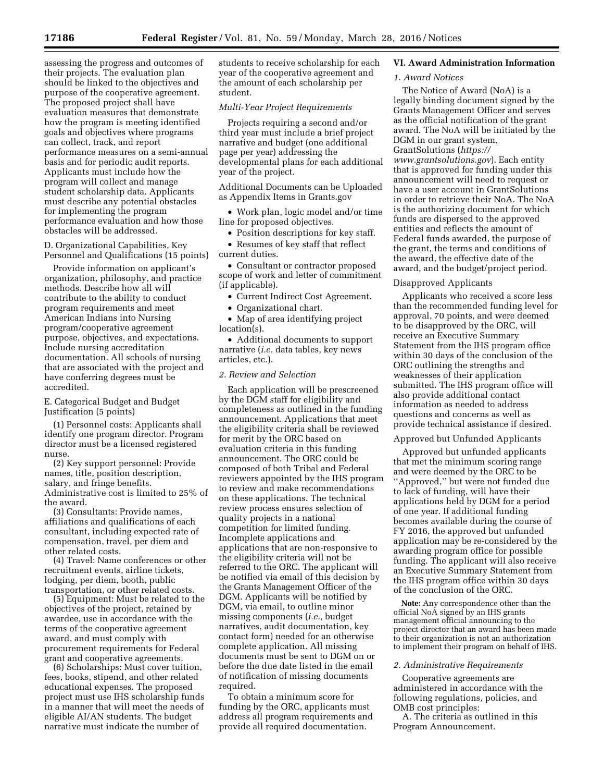assessing the progress and outcomes of their projects. The evaluation plan should be linked to the objectives and purpose of the cooperative agreement. The proposed project shall have evaluation measures that demonstrate how the program is meeting identified goals and objectives where programs can collect, track, and report performance measures on a semi-annual basis and for periodic audit reports. Applicants must include how the program will collect and manage student scholarship data. Applicants must describe any potential obstacles for implementing the program performance evaluation and how those obstacles will be addressed.

D. Organizational Capabilities, Key Personnel and Qualifications (15 points)

Provide information on applicant's organization, philosophy, and practice methods. Describe how all will contribute to the ability to conduct program requirements and meet American Indians into Nursing program/cooperative agreement purpose, objectives, and expectations. Include nursing accreditation documentation. All schools of nursing that are associated with the project and have conferring degrees must be accredited.

E. Categorical Budget and Budget Justification (5 points)

(1) Personnel costs: Applicants shall identify one program director. Program director must be a licensed registered nurse.

(2) Key support personnel: Provide names, title, position description, salary, and fringe benefits. Administrative cost is limited to 25% of the award.

(3) Consultants: Provide names, affiliations and qualifications of each consultant, including expected rate of compensation, travel, per diem and other related costs.

(4) Travel: Name conferences or other recruitment events, airline tickets, lodging, per diem, booth, public transportation, or other related costs.

(5) Equipment: Must be related to the objectives of the project, retained by awardee, use in accordance with the terms of the cooperative agreement award, and must comply with procurement requirements for Federal grant and cooperative agreements.

(6) Scholarships: Must cover tuition, fees, books, stipend, and other related educational expenses. The proposed project must use IHS scholarship funds in a manner that will meet the needs of eligible AI/AN students. The budget narrative must indicate the number of

students to receive scholarship for each year of the cooperative agreement and the amount of each scholarship per student.

# *Multi-Year Project Requirements*

Projects requiring a second and/or third year must include a brief project narrative and budget (one additional page per year) addressing the developmental plans for each additional year of the project.

Additional Documents can be Uploaded as Appendix Items in Grants.gov

• Work plan, logic model and/or time line for proposed objectives.

- Position descriptions for key staff.
- Resumes of key staff that reflect current duties.

• Consultant or contractor proposed scope of work and letter of commitment (if applicable).

• Current Indirect Cost Agreement.

• Organizational chart.

• Map of area identifying project location(s).

• Additional documents to support narrative (*i.e.* data tables, key news articles, etc.).

### *2. Review and Selection*

Each application will be prescreened by the DGM staff for eligibility and completeness as outlined in the funding announcement. Applications that meet the eligibility criteria shall be reviewed for merit by the ORC based on evaluation criteria in this funding announcement. The ORC could be composed of both Tribal and Federal reviewers appointed by the IHS program to review and make recommendations on these applications. The technical review process ensures selection of quality projects in a national competition for limited funding. Incomplete applications and applications that are non-responsive to the eligibility criteria will not be referred to the ORC. The applicant will be notified via email of this decision by the Grants Management Officer of the DGM. Applicants will be notified by DGM, via email, to outline minor missing components (*i.e.,* budget narratives, audit documentation, key contact form) needed for an otherwise complete application. All missing documents must be sent to DGM on or before the due date listed in the email of notification of missing documents required.

To obtain a minimum score for funding by the ORC, applicants must address all program requirements and provide all required documentation.

# **VI. Award Administration Information**

## *1. Award Notices*

The Notice of Award (NoA) is a legally binding document signed by the Grants Management Officer and serves as the official notification of the grant award. The NoA will be initiated by the DGM in our grant system, GrantSolutions (*[https://](https://www.grantsolutions.gov) [www.grantsolutions.gov](https://www.grantsolutions.gov)*). Each entity that is approved for funding under this announcement will need to request or have a user account in GrantSolutions in order to retrieve their NoA. The NoA is the authorizing document for which funds are dispersed to the approved entities and reflects the amount of Federal funds awarded, the purpose of the grant, the terms and conditions of the award, the effective date of the award, and the budget/project period.

#### Disapproved Applicants

Applicants who received a score less than the recommended funding level for approval, 70 points, and were deemed to be disapproved by the ORC, will receive an Executive Summary Statement from the IHS program office within 30 days of the conclusion of the ORC outlining the strengths and weaknesses of their application submitted. The IHS program office will also provide additional contact information as needed to address questions and concerns as well as provide technical assistance if desired.

#### Approved but Unfunded Applicants

Approved but unfunded applicants that met the minimum scoring range and were deemed by the ORC to be ''Approved,'' but were not funded due to lack of funding, will have their applications held by DGM for a period of one year. If additional funding becomes available during the course of FY 2016, the approved but unfunded application may be re-considered by the awarding program office for possible funding. The applicant will also receive an Executive Summary Statement from the IHS program office within 30 days of the conclusion of the ORC.

**Note:** Any correspondence other than the official NoA signed by an IHS grants management official announcing to the project director that an award has been made to their organization is not an authorization to implement their program on behalf of IHS.

# *2. Administrative Requirements*

Cooperative agreements are administered in accordance with the following regulations, policies, and OMB cost principles:

A. The criteria as outlined in this Program Announcement.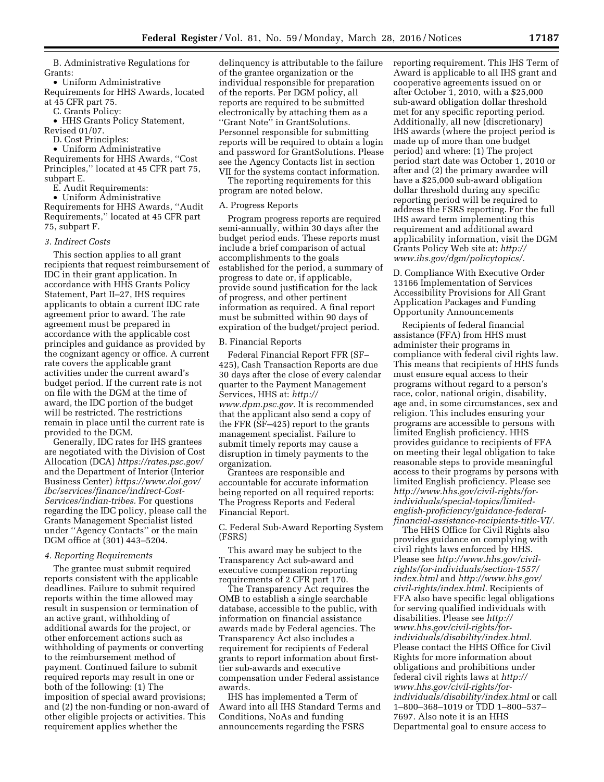B. Administrative Regulations for Grants:

• Uniform Administrative Requirements for HHS Awards, located at 45 CFR part 75.

C. Grants Policy:

• HHS Grants Policy Statement, Revised 01/07.

D. Cost Principles:

• Uniform Administrative

Requirements for HHS Awards, ''Cost Principles,'' located at 45 CFR part 75, subpart E.

E. Audit Requirements:

• Uniform Administrative Requirements for HHS Awards, ''Audit Requirements,'' located at 45 CFR part 75, subpart F.

#### *3. Indirect Costs*

This section applies to all grant recipients that request reimbursement of IDC in their grant application. In accordance with HHS Grants Policy Statement, Part II–27, IHS requires applicants to obtain a current IDC rate agreement prior to award. The rate agreement must be prepared in accordance with the applicable cost principles and guidance as provided by the cognizant agency or office. A current rate covers the applicable grant activities under the current award's budget period. If the current rate is not on file with the DGM at the time of award, the IDC portion of the budget will be restricted. The restrictions remain in place until the current rate is provided to the DGM.

Generally, IDC rates for IHS grantees are negotiated with the Division of Cost Allocation (DCA) *<https://rates.psc.gov/>*  and the Department of Interior (Interior Business Center) *[https://www.doi.gov/](https://www.doi.gov/ibc/services/finance/indirect-Cost-Services/indian-tribes) [ibc/services/finance/indirect-Cost-](https://www.doi.gov/ibc/services/finance/indirect-Cost-Services/indian-tribes)[Services/indian-tribes.](https://www.doi.gov/ibc/services/finance/indirect-Cost-Services/indian-tribes)* For questions regarding the IDC policy, please call the Grants Management Specialist listed under ''Agency Contacts'' or the main DGM office at (301) 443–5204.

## *4. Reporting Requirements*

The grantee must submit required reports consistent with the applicable deadlines. Failure to submit required reports within the time allowed may result in suspension or termination of an active grant, withholding of additional awards for the project, or other enforcement actions such as withholding of payments or converting to the reimbursement method of payment. Continued failure to submit required reports may result in one or both of the following: (1) The imposition of special award provisions; and (2) the non-funding or non-award of other eligible projects or activities. This requirement applies whether the

delinquency is attributable to the failure of the grantee organization or the individual responsible for preparation of the reports. Per DGM policy, all reports are required to be submitted electronically by attaching them as a ''Grant Note'' in GrantSolutions. Personnel responsible for submitting reports will be required to obtain a login and password for GrantSolutions. Please see the Agency Contacts list in section VII for the systems contact information.

The reporting requirements for this program are noted below.

# A. Progress Reports

Program progress reports are required semi-annually, within 30 days after the budget period ends. These reports must include a brief comparison of actual accomplishments to the goals established for the period, a summary of progress to date or, if applicable, provide sound justification for the lack of progress, and other pertinent information as required. A final report must be submitted within 90 days of expiration of the budget/project period.

#### B. Financial Reports

Federal Financial Report FFR (SF– 425), Cash Transaction Reports are due 30 days after the close of every calendar quarter to the Payment Management Services, HHS at: *[http://](http://www.dpm.psc.gov) [www.dpm.psc.gov.](http://www.dpm.psc.gov)* It is recommended that the applicant also send a copy of the FFR (SF–425) report to the grants management specialist. Failure to submit timely reports may cause a disruption in timely payments to the organization.

Grantees are responsible and accountable for accurate information being reported on all required reports: The Progress Reports and Federal Financial Report.

C. Federal Sub-Award Reporting System (FSRS)

This award may be subject to the Transparency Act sub-award and executive compensation reporting requirements of 2 CFR part 170.

The Transparency Act requires the OMB to establish a single searchable database, accessible to the public, with information on financial assistance awards made by Federal agencies. The Transparency Act also includes a requirement for recipients of Federal grants to report information about firsttier sub-awards and executive compensation under Federal assistance awards.

IHS has implemented a Term of Award into all IHS Standard Terms and Conditions, NoAs and funding announcements regarding the FSRS

reporting requirement. This IHS Term of Award is applicable to all IHS grant and cooperative agreements issued on or after October 1, 2010, with a \$25,000 sub-award obligation dollar threshold met for any specific reporting period. Additionally, all new (discretionary) IHS awards (where the project period is made up of more than one budget period) and where: (1) The project period start date was October 1, 2010 or after and (2) the primary awardee will have a \$25,000 sub-award obligation dollar threshold during any specific reporting period will be required to address the FSRS reporting. For the full IHS award term implementing this requirement and additional award applicability information, visit the DGM Grants Policy Web site at: *[http://](http://www.ihs.gov/dgm/policytopics/) [www.ihs.gov/dgm/policytopics/.](http://www.ihs.gov/dgm/policytopics/)* 

D. Compliance With Executive Order 13166 Implementation of Services Accessibility Provisions for All Grant Application Packages and Funding Opportunity Announcements

Recipients of federal financial assistance (FFA) from HHS must administer their programs in compliance with federal civil rights law. This means that recipients of HHS funds must ensure equal access to their programs without regard to a person's race, color, national origin, disability, age and, in some circumstances, sex and religion. This includes ensuring your programs are accessible to persons with limited English proficiency. HHS provides guidance to recipients of FFA on meeting their legal obligation to take reasonable steps to provide meaningful access to their programs by persons with limited English proficiency. Please see *[http://www.hhs.gov/civil-rights/for](http://www.hhs.gov/civil-rights/for-individuals/special-topics/limited- english-proficiency/guidance-federal-financial-assistance-recipients-title-VI/)[individuals/special-topics/limited](http://www.hhs.gov/civil-rights/for-individuals/special-topics/limited- english-proficiency/guidance-federal-financial-assistance-recipients-title-VI/)[english-proficiency/guidance-federal](http://www.hhs.gov/civil-rights/for-individuals/special-topics/limited- english-proficiency/guidance-federal-financial-assistance-recipients-title-VI/)[financial-assistance-recipients-title-VI/.](http://www.hhs.gov/civil-rights/for-individuals/special-topics/limited- english-proficiency/guidance-federal-financial-assistance-recipients-title-VI/)* 

The HHS Office for Civil Rights also provides guidance on complying with civil rights laws enforced by HHS. Please see *[http://www.hhs.gov/civil](http://www.hhs.gov/civil-rights/for-individuals/section-1557/index.html)[rights/for-individuals/section-1557/](http://www.hhs.gov/civil-rights/for-individuals/section-1557/index.html) [index.html](http://www.hhs.gov/civil-rights/for-individuals/section-1557/index.html)* and *[http://www.hhs.gov/](http://www.hhs.gov/civil-rights/index.html) [civil-rights/index.html.](http://www.hhs.gov/civil-rights/index.html)* Recipients of FFA also have specific legal obligations for serving qualified individuals with disabilities. Please see *[http://](http://www.hhs.gov/civil-rights/for-individuals/disability/index.html) [www.hhs.gov/civil-rights/for](http://www.hhs.gov/civil-rights/for-individuals/disability/index.html)[individuals/disability/index.html.](http://www.hhs.gov/civil-rights/for-individuals/disability/index.html)*  Please contact the HHS Office for Civil Rights for more information about obligations and prohibitions under federal civil rights laws at *[http://](http://www.hhs.gov/civil-rights/for-individuals/disability/index.html) [www.hhs.gov/civil-rights/for](http://www.hhs.gov/civil-rights/for-individuals/disability/index.html)[individuals/disability/index.html](http://www.hhs.gov/civil-rights/for-individuals/disability/index.html)* or call 1–800–368–1019 or TDD 1–800–537– 7697. Also note it is an HHS Departmental goal to ensure access to